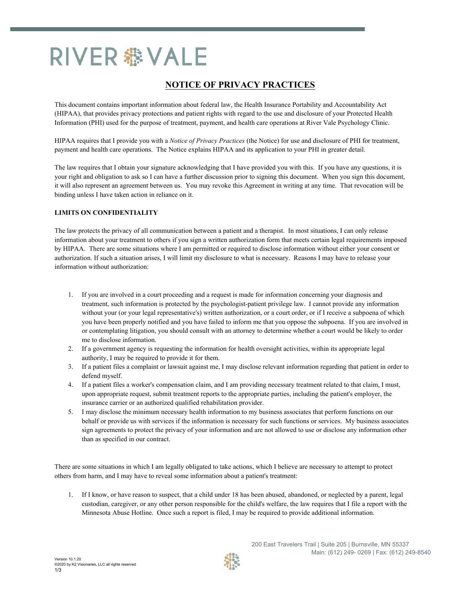# RIVER 盎 VALE

# **NOTICE OF PRIVACY PRACTICES**

This document contains important information about federal law, the Health Insurance Portability and Accountability Act (HIPAA), that provides privacy protections and patient rights with regard to the use and disclosure of your Protected Health Information (PHI) used for the purpose of treatment, payment, and health care operations at River Vale Psychology Clinic.

HIPAA requires that I provide you with a *Notice of Privacy Practices* (the Notice) for use and disclosure of PHI for treatment, payment and health care operations. The Notice explains HIPAA and its application to your PHI in greater detail.

The law requires that I obtain your signature acknowledging that I have provided you with this. If you have any questions, it is your right and obligation to ask so I can have a further discussion prior to signing this document. When you sign this document, it will also represent an agreement between us. You may revoke this Agreement in writing at any time. That revocation will be binding unless I have taken action in reliance on it.

#### **LIMITS ON CONFIDENTIALITY**

The law protects the privacy of all communication between a patient and a therapist. In most situations, I can only release information about your treatment to others if you sign a written authorization form that meets certain legal requirements imposed by HIPAA. There are some situations where I am permitted or required to disclose information without either your consent or authorization. If such a situation arises, I will limit my disclosure to what is necessary. Reasons I may have to release your information without authorization:

- 1. If you are involved in a court proceeding and a request is made for information concerning your diagnosis and treatment, such information is protected by the psychologist-patient privilege law. I cannot provide any information without your (or your legal representative's) written authorization, or a court order, or if I receive a subpoena of which you have been properly notified and you have failed to inform me that you oppose the subpoena. If you are involved in or contemplating litigation, you should consult with an attorney to determine whether a court would be likely to order me to disclose information.
- 2. If a government agency is requesting the information for health oversight activities, within its appropriate legal authority, I may be required to provide it for them.
- 3. If a patient files a complaint or lawsuit against me, I may disclose relevant information regarding that patient in order to defend myself.
- 4. If a patient files a worker's compensation claim, and I am providing necessary treatment related to that claim, I must, upon appropriate request, submit treatment reports to the appropriate parties, including the patient's employer, the insurance carrier or an authorized qualified rehabilitation provider.
- 5. I may disclose the minimum necessary health information to my business associates that perform functions on our behalf or provide us with services if the information is necessary for such functions or services. My business associates sign agreements to protect the privacy of your information and are not allowed to use or disclose any information other than as specified in our contract.

There are some situations in which I am legally obligated to take actions, which I believe are necessary to attempt to protect others from harm, and I may have to reveal some information about a patient's treatment:

1. If I know, or have reason to suspect, that a child under 18 has been abused, abandoned, or neglected by a parent, legal custodian, caregiver, or any other person responsible for the child's welfare, the law requires that I file a report with the Minnesota Abuse Hotline. Once such a report is filed, I may be required to provide additional information.

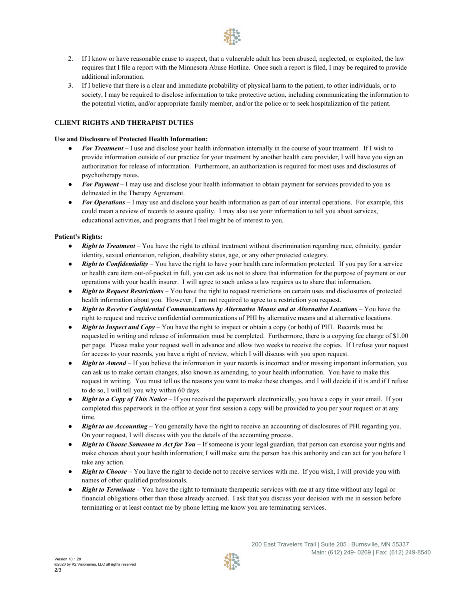- 2. If I know or have reasonable cause to suspect, that a vulnerable adult has been abused, neglected, or exploited, the law requires that I file a report with the Minnesota Abuse Hotline. Once such a report is filed, I may be required to provide additional information.
- 3. If I believe that there is a clear and immediate probability of physical harm to the patient, to other individuals, or to society, I may be required to disclose information to take protective action, including communicating the information to the potential victim, and/or appropriate family member, and/or the police or to seek hospitalization of the patient.

## **CLIENT RIGHTS AND THERAPIST DUTIES**

#### **Use and Disclosure of Protected Health Information:**

- *For Treatment* I use and disclose your health information internally in the course of your treatment. If I wish to provide information outside of our practice for your treatment by another health care provider, I will have you sign an authorization for release of information. Furthermore, an authorization is required for most uses and disclosures of psychotherapy notes.
- *For Payment* I may use and disclose your health information to obtain payment for services provided to you as
- delineated in the Therapy Agreement.<br>
*For Operations* I may use and disclose your health information as part of our internal operations. For example, this could mean a review of records to assure quality. I may also use your information to tell you about services, educational activities, and programs that I feel might be of interest to you.

## **Patient's Rights:**

- *Right to Treatment* You have the right to ethical treatment without discrimination regarding race, ethnicity, gender identity, sexual orientation, religion, disability status, age, or any other protected category. ● *Right to Confidentiality* – You have the right to have your health care information protected. If you pay for a service
- or health care item out-of-pocket in full, you can ask us not to share that information for the purpose of payment or our operations with your health insurer. I will agree to such unless a law requires us to share that information.
- *Right to Request Restrictions –* You have the right to request restrictions on certain uses and disclosures of protected health information about you. However, I am not required to agree to a restriction you request.
- *Right to Receive Confidential Communications by Alternative Means and at Alternative Locations –* You have the right to request and receive confidential communications of PHI by alternative means and at alternative locations.
- *Right to Inspect and Copy* You have the right to inspect or obtain a copy (or both) of PHI. Records must be requested in writing and release of information must be completed. Furthermore, there is a copying fee charge of \$1.00 per page. Please make your request well in advance and allow two weeks to receive the copies. If I refuse your request
- for access to your records, you have a right of review, which I will discuss with you upon request.<br>• **Right to Amend** If you believe the information in your records is incorrect and/or missing important information, yo can ask us to make certain changes, also known as amending, to your health information. You have to make this request in writing. You must tell us the reasons you want to make these changes, and I will decide if it is and if I refuse
- to do so, I will tell you why within 60 days.<br>● *Right to a Copy of This Notice* If you received the paperwork electronically, you have a copy in your email. If you completed this paperwork in the office at your first session a copy will be provided to you per your request or at any
- time.<br>
*Right to an Accounting* You generally have the right to receive an accounting of disclosures of PHI regarding you. On your request, I will discuss with you the details of the accounting process.
- *Right to Choose Someone to Act for You* If someone is your legal guardian, that person can exercise your rights and make choices about your health information; I will make sure the person has this authority and can act for you before I
- take any action.<br>
*Right to Choose* You have the right to decide not to receive services with me. If you wish, I will provide you with **■** *Right to Terminate* – You have the right to terminate therapeutic services with me at any time without any legal or *Right to Terminate* – You have the right to terminate therapeutic services with me at any time with
- financial obligations other than those already accrued. I ask that you discuss your decision with me in session before terminating or at least contact me by phone letting me know you are terminating services.